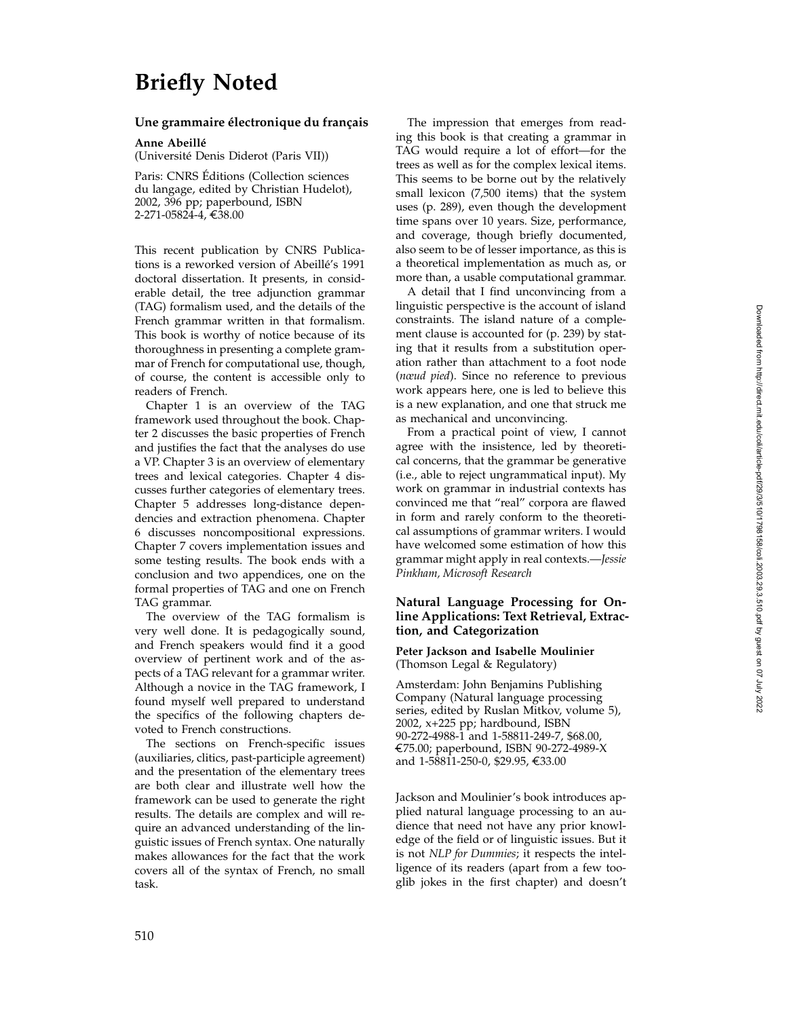# **Briefly Noted**

## Une grammaire électronique du français

**Anne Abeillé** 

(Universit´e Denis Diderot (Paris VII))

Paris: CNRS Editions (Collection sciences ´ du langage, edited by Christian Hudelot), 2002, 396 pp; paperbound, ISBN 2-271-05824-4, €38.00

This recent publication by CNRS Publications is a reworked version of Abeillé's 1991 doctoral dissertation. It presents, in considerable detail, the tree adjunction grammar (TAG) formalism used, and the details of the French grammar written in that formalism. This book is worthy of notice because of its thoroughness in presenting a complete grammar of French for computational use, though, of course, the content is accessible only to readers of French.

Chapter 1 is an overview of the TAG framework used throughout the book. Chapter 2 discusses the basic properties of French and justifies the fact that the analyses do use a VP. Chapter 3 is an overview of elementary trees and lexical categories. Chapter 4 discusses further categories of elementary trees. Chapter 5 addresses long-distance dependencies and extraction phenomena. Chapter 6 discusses noncompositional expressions. Chapter 7 covers implementation issues and some testing results. The book ends with a conclusion and two appendices, one on the formal properties of TAG and one on French TAG grammar.

The overview of the TAG formalism is very well done. It is pedagogically sound, and French speakers would find it a good overview of pertinent work and of the aspects of a TAG relevant for a grammar writer. Although a novice in the TAG framework, I found myself well prepared to understand the specifics of the following chapters devoted to French constructions.

The sections on French-specific issues (auxiliaries, clitics, past-participle agreement) and the presentation of the elementary trees are both clear and illustrate well how the framework can be used to generate the right results. The details are complex and will require an advanced understanding of the linguistic issues of French syntax. One naturally makes allowances for the fact that the work covers all of the syntax of French, no small task.

The impression that emerges from reading this book is that creating a grammar in TAG would require a lot of effort—for the trees as well as for the complex lexical items. This seems to be borne out by the relatively small lexicon (7,500 items) that the system uses (p. 289), even though the development time spans over 10 years. Size, performance, and coverage, though briefly documented, also seem to be of lesser importance, as this is a theoretical implementation as much as, or more than, a usable computational grammar.

A detail that I find unconvincing from a linguistic perspective is the account of island constraints. The island nature of a complement clause is accounted for (p. 239) by stating that it results from a substitution operation rather than attachment to a foot node (*nœud pied*). Since no reference to previous work appears here, one is led to believe this is a new explanation, and one that struck me as mechanical and unconvincing.

From a practical point of view, I cannot agree with the insistence, led by theoretical concerns, that the grammar be generative (i.e., able to reject ungrammatical input). My work on grammar in industrial contexts has convinced me that "real" corpora are flawed in form and rarely conform to the theoretical assumptions of grammar writers. I would have welcomed some estimation of how this grammar might apply in real contexts.—*Jessie Pinkham, Microsoft Research*

### **Natural Language Processing for Online Applications: Text Retrieval, Extraction, and Categorization**

#### **Peter Jackson and Isabelle Moulinier** (Thomson Legal & Regulatory)

Amsterdam: John Benjamins Publishing Company (Natural language processing series, edited by Ruslan Mitkov, volume 5), 2002, x+225 pp; hardbound, ISBN €75.00; paperbound, ISBN 90-272-4989-X and 1-58811-250-0, \$29.95, €33.00

Jackson and Moulinier's book introduces applied natural language processing to an audience that need not have any prior knowledge of the field or of linguistic issues. But it is not *NLP for Dummies*; it respects the intelligence of its readers (apart from a few tooglib jokes in the first chapter) and doesn't